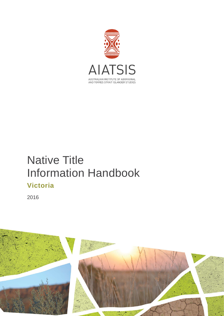

# Native Title Information Handbook **Victoria**

2016

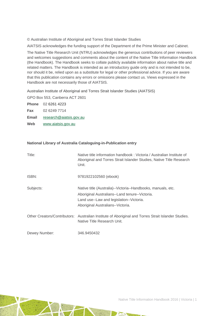© Australian Institute of Aboriginal and Torres Strait Islander Studies

AIATSIS acknowledges the funding support of the Department of the Prime Minister and Cabinet.

The Native Title Research Unit (NTRU) acknowledges the generous contributions of peer reviewers and welcomes suggestions and comments about the content of the Native Title Information Handbook (the Handbook). The Handbook seeks to collate publicly available information about native title and related matters. The Handbook is intended as an introductory guide only and is not intended to be, nor should it be, relied upon as a substitute for legal or other professional advice. If you are aware that this publication contains any errors or omissions please contact us. Views expressed in the Handbook are not necessarily those of AIATSIS.

Australian Institute of Aboriginal and Torres Strait Islander Studies (AIATSIS)

GPO Box 553, Canberra ACT 2601

**Phone** 02 6261 4223 **Fax** 02 6249 7714

**Email** [research@aiatsis.gov.au](mailto:research@aiatsis.gov.au)

**Web** [www.aiatsis.gov.au](http://www.aiatsis.gov.au/) 

#### **National Library of Australia Cataloguing-in-Publication entry**

| Title:        | Native title information handbook: Victoria / Australian Institute of<br>Aboriginal and Torres Strait Islander Studies, Native Title Research<br>Unit.                                          |
|---------------|-------------------------------------------------------------------------------------------------------------------------------------------------------------------------------------------------|
| ISBN:         | 9781922102560 (ebook)                                                                                                                                                                           |
| Subjects:     | Native title (Australia)--Victoria--Handbooks, manuals, etc.<br>Aboriginal Australians--Land tenure--Victoria.<br>Land use--Law and legislation--Victoria.<br>Aboriginal Australians--Victoria. |
|               | Other Creators/Contributors: Australian Institute of Aboriginal and Torres Strait Islander Studies.<br>Native Title Research Unit.                                                              |
| Dewey Number: | 346.9450432                                                                                                                                                                                     |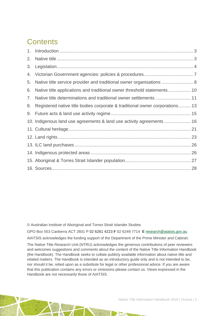## **Contents**

| 2. |                                                                              |  |
|----|------------------------------------------------------------------------------|--|
| 3. |                                                                              |  |
| 4. |                                                                              |  |
| 5. | Native title service provider and traditional owner organisations  8         |  |
| 6. |                                                                              |  |
| 7. |                                                                              |  |
| 8. | Registered native title bodies corporate & traditional owner corporations 13 |  |
| 9. |                                                                              |  |
|    | 10. Indigenous land use agreements & land use activity agreements  16        |  |
|    |                                                                              |  |
|    |                                                                              |  |
|    |                                                                              |  |
|    |                                                                              |  |
|    |                                                                              |  |
|    |                                                                              |  |

© Australian Institute of Aboriginal and Torres Strait Islander Studies

GPO Box 553 Canberra ACT 2601 P 02 6261 4223 **F** 02 6249 7714 **E** [research@aiatsis.gov.au](mailto:research@aiatsis.gov.au)

AIATSIS acknowledges the funding support of the Department of the Prime Minister and Cabinet.

The Native Title Research Unit (NTRU) acknowledges the generous contributions of peer reviewers and welcomes suggestions and comments about the content of the Native Title Information Handbook (the Handbook). The Handbook seeks to collate publicly available information about native title and related matters. The Handbook is intended as an introductory guide only and is not intended to be, nor should it be, relied upon as a substitute for legal or other professional advice. If you are aware that this publication contains any errors or omissions please contact us. Views expressed in the Handbook are not necessarily those of AIATSIS.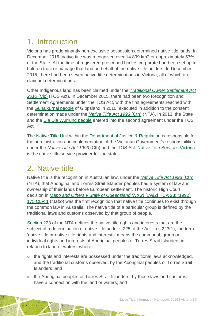## <span id="page-3-0"></span>1. Introduction

Victoria has predominantly non-exclusive possession determined native title lands. In December 2015, native title was recognised over 14 899 km2 or approximately 57% of the State. At the time, 4 registered prescribed bodies corporate had been set up to hold on trust or manage that land on behalf of the native title holders. In December 2015, there had been seven native title determinations in Victoria, all of which are claimant determinations.

Other Indigenous land has been claimed under the *[Traditional Owner Settlement Act](http://www.austlii.edu.au/au/legis/vic/consol_act/tosa2010326/)  [2010](http://www.austlii.edu.au/au/legis/vic/consol_act/tosa2010326/)* (Vic) (TOS Act). In December 2015, there had been two Recognition and Settlement Agreements under the TOS Act, with the first agreements reached with the [Gunaikurnai people](http://www.justice.vic.gov.au/home/your+rights/native+title/gunaikurnai+native+title+agreement) of Gippsland in 2010, executed in addition to the consent determination made under the *[Native Title Act 1993](http://www.austlii.edu.au/au/legis/cth/consol_act/nta1993147/)* (Cth) (NTA). In 2013, the State and the [Dja Dja Wurrung people](http://www.justice.vic.gov.au/home/your+rights/native+title/dja+dja+wurrung+settlement) entered into the second agreement under the TOS Act.

The [Native Title Unit](http://www.justice.vic.gov.au/utility/contact+us/native+title+unit.shtml) within the [Department of Justice & Regulation](http://www.justice.vic.gov.au/utility/contact+us/native+title+unit.shtml) is responsible for the administration and implementation of the Victorian Government's responsibilities under the *Native Title Act 1993* (Cth) and the TOS Act. [Native Title Services Victoria](http://www.ntsv.com.au/) is the native title service provider for the state.

### <span id="page-3-1"></span>2. Native title

Native title is the recognition in Australian law, under the *[Native Title Act 1993](http://www.austlii.edu.au/au/legis/cth/consol_act/nta1993147/)* (Cth) (NTA), that Aboriginal and Torres Strait Islander peoples had a system of law and ownership of their lands before European settlement. The historic High Court decision in *[Mabo and Others v State of Queensland \(No 2\)](http://www.austlii.edu.au/au/cases/cth/HCA/1992/23.html)* [1992] HCA 23; (1992) [175 CLR 1](http://www.austlii.edu.au/au/cases/cth/HCA/1992/23.html) (*Mabo*) was the first recognition that native title continues to exist through the common law in Australia. The native title of a particular group is defined by the traditional laws and customs observed by that group of people.

[Section 223](http://www.austlii.edu.au/au/legis/cth/consol_act/nta1993147/s223.html) of the NTA defines the native title rights and interests that are the subject of a determination of native title under [s 225](http://www.austlii.edu.au/au/legis/cth/consol_act/nta1993147/s225.html) of the Act. In s 223(1), the term 'native title or native title rights and interests' means the communal, group or individual rights and interests of Aboriginal peoples or Torres Strait Islanders in relation to land or waters, where:

- o the rights and interests are possessed under the traditional laws acknowledged, and the traditional customs observed, by the Aboriginal peoples or Torres Strait Islanders; and
- **o** the Aboriginal peoples or Torres Strait Islanders, by those laws and customs, have a connection with the land or waters; and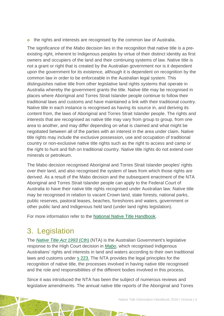o the rights and interests are recognised by the common law of Australia.

The significance of the *Mabo* decision lies in the recognition that native title is a preexisting right, inherent to Indigenous peoples by virtue of their distinct identity as first owners and occupiers of the land and their continuing systems of law. Native title is not a grant or right that is created by the Australian government nor is it dependent upon the government for its existence, although it is dependent on recognition by the common law in order to be enforceable in the Australian legal system. This distinguishes native title from other legislative land rights systems that operate in Australia whereby the government grants the title. Native title may be recognised in places where Aboriginal and Torres Strait Islander people continue to follow their traditional laws and customs and have maintained a link with their traditional country. Native title in each instance is recognised as having its source in, and deriving its content from, the laws of Aboriginal and Torres Strait Islander people. The rights and interests that are recognised as native title may vary from group to group, from one area to another, and may differ depending on what is claimed and what might be negotiated between all of the parties with an interest in the area under claim. Native title rights may include the exclusive possession, use and occupation of traditional country or non-exclusive native title rights such as the right to access and camp or the right to hunt and fish on traditional country. Native title rights do not extend over minerals or petroleum.

The Mabo decision recognised Aboriginal and Torres Strait Islander peoples' rights over their land, and also recognised the system of laws from which those rights are derived. As a result of the Mabo decision and the subsequent enactment of the NTA Aboriginal and Torres Strait Islander people can apply to the Federal Court of Australia to have their native title rights recognised under Australian law. Native title may be recognised in relation to vacant Crown land, state forests, national parks, public reserves, pastoral leases, beaches, foreshores and waters, government or other public land and Indigenous held land (under land rights legislation).

For more information refer to the [National Native Title Handbook.](http://aiatsis.gov.au/publications/products/native-title-information-handbooks)

## <span id="page-4-0"></span>3. Legislation

The *[Native Title Act 1993](http://www.austlii.edu.au/au/legis/cth/consol_act/nta1993147/)* (Cth) (NTA) is the Australian Government's legislative response to the High Court decision in *[Mabo](http://www.austlii.edu.au/au/cases/cth/HCA/1992/23.html)*, which recognised Indigenous Australians' rights and interests in land and waters according to their own traditional laws and customs under [s 223.](http://www.austlii.edu.au/au/legis/cth/consol_act/nta1993147/s223.html) The NTA provides the legal principles for the recognition of native title, the processes involved in having native title recognised and the role and responsibilities of the different bodies involved in this process.

Since it was introduced the NTA has been the subject of numerous reviews and legislative amendments. The annual native title reports of the Aboriginal and Torres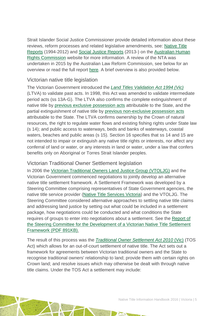Strait Islander Social Justice Commissioner provide detailed information about these reviews, reform processes and related legislative amendments, see: [Native Title](https://www.humanrights.gov.au/our-work/aboriginal-and-torres-strait-islander-social-justice/publications/native-title-reports)  [Reports](https://www.humanrights.gov.au/our-work/aboriginal-and-torres-strait-islander-social-justice/publications/native-title-reports) (1994-2012) and [Social Justice Reports](https://www.humanrights.gov.au/our-work/aboriginal-and-torres-strait-islander-social-justice/projects/social-justice-and-native) (2013-) on the [Australian Human](https://www.humanrights.gov.au/)  [Rights Commission](https://www.humanrights.gov.au/) website for more information. A review of the NTA was undertaken in 2015 by the Australian Law Reform Commission, see below for an overview or read the full report [here.](https://www.alrc.gov.au/publications/alrc126) A brief overview is also provided below.

#### Victorian native title legislation

The Victorian Government introduced the *[Land Titles Validation Act 1994 \(Vic\)](http://www.austlii.edu.au/au/legis/vic/consol_act/ltva1994224/)* (LTVA) to validate past acts. In 1998, this Act was amended to validate intermediate period acts (ss 13A-G). The LTVA also confirms the complete extinguishment of native title by [previous exclusive possession acts](http://www.nntt.gov.au/Pages/Glossary.aspx) attributable to the State, and the partial extinguishment of native title by [previous non-exclusive possession acts](http://www.nntt.gov.au/Pages/Glossary.aspx) attributable to the State. The LTVA confirms ownership by the Crown of natural resources, the right to regulate water flows and existing fishing rights under State law (s 14); and public access to waterways, beds and banks of waterways, coastal waters, beaches and public areas (s 15). Section 16 specifies that ss 14 and 15 are not intended to impair or extinguish any native title rights or interests, nor affect any conferral of land or water, or any interests in land or water, under a law that confers benefits only on Aboriginal or Torres Strait Islander peoples.

#### Victorian Traditional Owner Settlement legislation

In 2006 the [Victorian Traditional Owners Land Justice Group \(VTOLJG\)](http://www.landjustice.com.au/) and the Victorian Government commenced negotiations to jointly develop an alternative native title settlement framework. A Settlement Framework was developed by a Steering Committee comprising representatives of State Government agencies, the native title service provider [\(Native Title Services Victoria\)](http://www.ntsv.com.au/) and the VTOLJG. The Steering Committee considered alternative approaches to settling native title claims and addressing land justice by setting out what could be included in a settlement package, how negotiations could be conducted and what conditions the State requires of groups to enter into negotiations about a settlement. See the Report of [the Steering Committee for the Development of a Victorian Native Title Settlement](http://www.landjustice.com.au/document/report_sc_vic_native_title_settlement_framework_13May09.pdf)  [Framework \(PDF](http://www.landjustice.com.au/document/report_sc_vic_native_title_settlement_framework_13May09.pdf) 891KB).

The result of this process was the *[Traditional Owner Settlement Act 2010](http://www.austlii.edu.au/au/legis/vic/consol_act/tosa2010326/)* (Vic) (TOS Act) which allows for an out-of-court settlement of native title. The Act sets out a framework for agreements between Victorian traditional owners and the State to recognise traditional owners' relationship to land; provide them with certain rights on Crown land; and resolve issues which may otherwise be dealt with through native title claims. Under the TOS Act a settlement may include: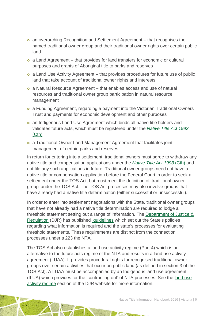- an overarching Recognition and Settlement Agreement that recognises the named traditional owner group and their traditional owner rights over certain public land
- a Land Agreement that provides for land transfers for economic or cultural purposes and grants of Aboriginal title to parks and reserves
- a Land Use Activity Agreement that provides procedures for future use of public land that take account of traditional owner rights and interests
- a Natural Resource Agreement that enables access and use of natural resources and traditional owner group participation in natural resource management
- a Funding Agreement, regarding a payment into the Victorian Traditional Owners Trust and payments for economic development and other purposes
- an Indigenous Land Use Agreement which binds all native title holders and validates future acts, which must be registered under the *[Native Title Act 1993](http://www.austlii.edu.au/au/legis/cth/consol_act/nta1993147/)* [\(Cth\)](http://www.austlii.edu.au/au/legis/cth/consol_act/nta1993147/)
- a Traditional Owner Land Management Agreement that facilitates joint management of certain parks and reserves.

In return for entering into a settlement, traditional owners must agree to withdraw any native title and compensation applications under the *[Native Title Act 1993](http://www.austlii.edu.au/au/legis/cth/consol_act/nta1993147/)* (Cth) and not file any such applications in future. Traditional owner groups need not have a native title or compensation application before the Federal Court in order to seek a settlement under the TOS Act, but must meet the definition of 'traditional owner group' under the TOS Act. The TOS Act processes may also involve groups that have already had a native title determination (either successful or unsuccessful).

In order to enter into settlement negotiations with the State, traditional owner groups that have not already had a native title determination are required to lodge a threshold statement setting out a range of information. The [Department of Justice &](http://www.justice.vic.gov.au/)  [Regulation](http://www.justice.vic.gov.au/) (DJR) has published [guidelines](http://www.justice.vic.gov.au/home/your+rights/native+title/threshold+guidelines) which set out the State's policies regarding what information is required and the state's processes for evaluating threshold statements. These requirements are distinct from the connection processes under s 223 the NTA.

The TOS Act also establishes a land use activity regime (Part 4) which is an alternative to the future acts regime of the NTA and results in a land use activity agreement (LUAA). It provides procedural rights for recognised traditional owner groups over certain activities that occur on public land (as defined in section 3 of the TOS Act). A LUAA must be accompanied by an Indigenous land use agreement (ILUA) which provides for the 'contracting out' of NTA processes. See the [land use](http://www.justice.vic.gov.au/home/your+rights/native+title/traditional+owner+settlement+act)  [activity regime](http://www.justice.vic.gov.au/home/your+rights/native+title/traditional+owner+settlement+act) section of the DJR website for more information.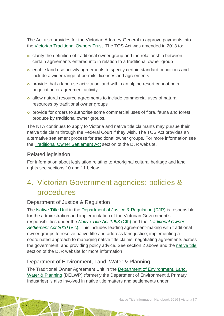The Act also provides for the Victorian Attorney-General to approve payments into the [Victorian Traditional Owners Trust.](http://www.traditionalowners.org.au/) The TOS Act was amended in 2013 to:

- clarify the definition of traditional owner group and the relationship between certain agreements entered into in relation to a traditional owner group
- enable land use activity agreements to specify certain standard conditions and include a wider range of permits, licences and agreements
- provide that a land use activity on land within an alpine resort cannot be a negotiation or agreement activity
- allow natural resource agreements to include commercial uses of natural resources by traditional owner groups
- provide for orders to authorise some commercial uses of flora, fauna and forest produce by traditional owner groups.

The NTA continues to apply to Victoria and native title claimants may pursue their native title claim through the Federal Court if they wish. The TOS Act provides an alternative settlement process for traditional owner groups. For more information see the [Traditional Owner Settlement Act](http://www.justice.vic.gov.au/home/your+rights/native+title/traditional+owner+settlement+act) section of the DJR website.

#### Related legislation

For information about legislation relating to Aboriginal cultural heritage and land rights see sections 10 and 11 below.

## <span id="page-7-0"></span>4. Victorian Government agencies: policies & procedures

#### Department of Justice & Regulation

The [Native Title Unit](http://www.justice.vic.gov.au/utility/contact+us/native+title+unit.shtml) in the [Department of Justice & Regulation](http://www.justice.vic.gov.au/) (DJR) is responsible for the administration and implementation of the Victorian Government's responsibilities under the *[Native Title Act 1993](http://www.austlii.edu.au/au/legis/cth/consol_act/nta1993147/)* (Cth) and the *[Traditional Owner](http://www.austlii.edu.au/au/legis/vic/consol_act/tosa2010326/)  [Settlement Act 2010](http://www.austlii.edu.au/au/legis/vic/consol_act/tosa2010326/)* (Vic). This includes leading agreement-making with traditional owner groups to resolve native title and address land justice; implementing a coordinated approach to managing native title claims; negotiating agreements across the government; and providing policy advice. See section 2 above and the [native title](http://www.justice.vic.gov.au/home/your+rights/native+title/) section of the DJR website for more information

#### Department of Environment, Land, Water & Planning

The Traditional Owner Agreement Unit in the [Department of Environment, Land,](http://www.depi.vic.gov.au/home)  [Water & Planning](http://www.depi.vic.gov.au/home) (DELWP) (formerly the Department of Environment & Primary Industries) is also involved in native title matters and settlements under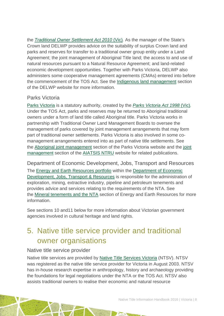the *[Traditional Owner Settlement Act 2010](http://www.austlii.edu.au/au/legis/vic/consol_act/tosa2010326/)* (Vic)*.* As the manager of the State's Crown land DELWP provides advice on the suitability of surplus Crown land and parks and reserves for transfer to a traditional owner group entity under a Land Agreement; the joint management of Aboriginal Title land; the access to and use of natural resources pursuant to a Natural Resource Agreement; and land-related economic development opportunities. Together with Parks Victoria, DELWP also administers some cooperative management agreements (CMAs) entered into before the commencement of the TOS Act. See the [Indigenous land management](http://www.depi.vic.gov.au/forestry-and-land-use/managing-land/indigenous-land-management) section of the DELWP website for more information.

#### Parks Victoria

[Parks Victoria](http://parkweb.vic.gov.au/about-us/who-we-are) is a statutory authority, created by the *[Parks Victoria Act 1998](http://www5.austlii.edu.au/au/legis/vic/consol_act/pva1998170/)* (Vic)*.* Under the TOS Act, parks and reserves may be returned to Aboriginal traditional owners under a form of land title called Aboriginal title. Parks Victoria works in partnership with Traditional Owner Land Management Boards to oversee the management of parks covered by joint management arrangements that may form part of traditional owner settlements. Parks Victoria is also involved in some comanagement arrangements entered into as part of native title settlements. See the [Aboriginal joint management](http://parkweb.vic.gov.au/park-management/aboriginal-joint-management) section of the Parks Victoria website and the [joint](http://aiatsis.gov.au/research-and-guides/joint-management-and-native-title)  [management](http://aiatsis.gov.au/research-and-guides/joint-management-and-native-title) section of the [AIATSIS NTRU](http://aiatsis.gov.au/research/research-themes/native-title) website for related publications.

Department of Economic Development, Jobs, Transport and Resources The [Energy and Earth Resources portfolio](http://www.energyandresources.vic.gov.au/about-us) within the [Department of Economic](http://dsdbi.vic.gov.au/our-department)  Development, Jobs, [Transport & Resources](http://dsdbi.vic.gov.au/our-department) is responsible for the administration of

exploration, mining, extractive industry, pipeline and petroleum tenements and provides advice and services relating to the requirements of the NTA. See the [Mineral tenements and the NTA](http://www.energyandresources.vic.gov.au/earth-resources/licensing-and-approvals/minerals/get-a-licence/native-title-act) section of Energy and Earth Resources for more information.

See sections 10 and11 below for more information about Victorian government agencies involved in cultural heritage and land rights.

## <span id="page-8-0"></span>5. Native title service provider and traditional owner organisations

#### Native title service provider

Native title services are provided by [Native Title Services Victoria](http://www.ntsv.com.au/) (NTSV). NTSV was registered as the native title service provider for Victoria in August 2003. NTSV has in-house research expertise in anthropology, history and archaeology providing the foundations for legal negotiations under the NTA or the TOS Act. NTSV also assists traditional owners to realise their economic and natural resource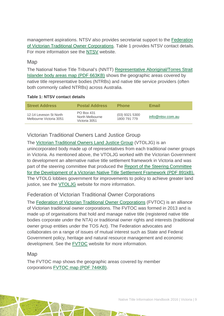management aspirations. NTSV also provides secretariat support to the [Federation](http://fvtoc.com.au/)  [of Victorian Traditional Owner Corporations.](http://fvtoc.com.au/) Table 1 provides NTSV contact details. For more information see the [NTSV](http://www.ntsv.com.au/) website.

#### Map

The National Native Title Tribunal's (NNTT) [Representative Aboriginal/Torres Strait](http://www.nntt.gov.au/Maps/RATSIB_map.pdf)  [Islander body areas map \(PDF 663KB\)](http://www.nntt.gov.au/Maps/RATSIB_map.pdf) shows the geographic areas covered by native title representative bodies (NTRBs) and native title service providers (often both commonly called NTRBs) across Australia.

#### **Table 1: NTSV contact details**

| <b>Street Address</b>                             | <b>Postal Address</b>                          | <b>Phone</b>                     | Email            |
|---------------------------------------------------|------------------------------------------------|----------------------------------|------------------|
| 12-14 Leveson St North<br>Melbourne Victoria 3051 | PO Box 431<br>North Melbourne<br>Victoria 3051 | $(03)$ 9321 5300<br>1800 791 779 | info@ntsv.com.au |

### Victorian Traditional Owners Land Justice Group

The [Victorian Traditional Owners Land Justice Group](http://www.landjustice.com.au/) (VTOLJG) is an unincorporated body made up of representatives from each traditional owner groups in Victoria. As mentioned above, the VTOLJG worked with the Victorian Government to development an alternative native title settlement framework in Victoria and was part of the steering committee that produced the [Report of the Steering Committee](http://www.landjustice.com.au/document/report_sc_vic_native_title_settlement_framework_13May09.pdf)  [for the Development of a Victorian Native Title Settlement Framework \(PDF 891kB\).](http://www.landjustice.com.au/document/report_sc_vic_native_title_settlement_framework_13May09.pdf) The VTOLG lobbies government for improvements to policy to achieve greater land justice, see the [VTOLJG](http://www.landjustice.com.au/) website for more information.

#### Federation of Victorian Traditional Owner Corporations

The [Federation of Victorian Traditional Owner Corporations](http://fvtoc.com.au/) (FVTOC) is an alliance of Victorian traditional owner corporations. The FVTOC was formed in 2013 and is made up of organisations that hold and manage native title (registered native title bodies corporate under the NTA) or traditional owner rights and interests (traditional owner group entities under the TOS Act). The Federation advocates and collaborates on a range of issues of mutual interest such as State and Federal Government policy, heritage and natural resource management and economic development. See the [FVTOC](http://fvtoc.com.au/) website for more information.

#### Map

The FVTOC map shows the geographic areas covered by member corporations [FVTOC map \(PDF 744KB\).](http://fvtoc.com.au/wp-content/uploads/2013/10/140122_Fed_Members_with_Wurnundhjeri_A3_LS.pdf)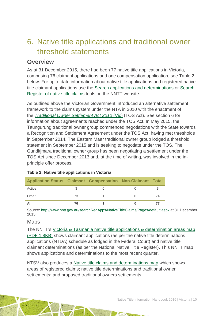## <span id="page-10-0"></span>6. Native title applications and traditional owner threshold statements

### **Overview**

As at 31 December 2015, there had been 77 native title applications in Victoria, comprising 76 claimant applications and one compensation application, see Table 2 below. For up to date information about native title applications and registered native title claimant applications use the [Search applications and determinations](http://www.nntt.gov.au/searchRegApps/NativeTitleClaims/Pages/default.aspx) or [Search](http://www.nntt.gov.au/searchRegApps/NativeTitleRegisters/Pages/Search-Register-of-Native-Title-Claims.aspx)  [Register of native title claims](http://www.nntt.gov.au/searchRegApps/NativeTitleRegisters/Pages/Search-Register-of-Native-Title-Claims.aspx) tools on the NNTT website.

As outlined above the Victorian Government introduced an alternative settlement framework to the claims system under the NTA in 2010 with the enactment of the *[Traditional Owner Settlement Act 2010](http://www.austlii.edu.au/au/legis/vic/consol_act/tosa2010326/)* (Vic) (TOS Act). See section 6 for information about agreements reached under the TOS Act. In May 2015, the Taungurung traditional owner group commenced negotiations with the State towards a Recognition and Settlement Agreement under the TOS Act, having met thresholds in September 2014. The Eastern Maar traditional owner group lodged a threshold statement in September 2015 and is seeking to negotiate under the TOS. The Gunditjmara traditional owner group has been negotiating a settlement under the TOS Act since December 2013 and, at the time of writing, was involved in the inprinciple offer process.

| <b>Application Status Claimant Compensation Non-Claimant Total</b> |    |  |    |
|--------------------------------------------------------------------|----|--|----|
| Active                                                             |    |  |    |
| Other                                                              | 73 |  | 74 |
| All                                                                | 76 |  |    |

#### **Table 2: Native title applications in Victoria**

Source: [http://www.nntt.gov.au/searchRegApps/NativeTitleClaims/Pages/default.aspx](http://www.nntt.gov.au/searchRegApps/NativeTitleClaims/Pages/default.aspx%20at%2031%20December%202015) at 31 December 2015

#### Maps

The NNTT's [Victoria & Tasmania native title applications & determination areas map](http://www.nntt.gov.au/Maps/VIC_TAS_NTDA_Schedule.pdf)  [\(PDF 1.8KB\)](http://www.nntt.gov.au/Maps/VIC_TAS_NTDA_Schedule.pdf) shows claimant applications (as per the native title determinations applications (NTDA) schedule as lodged in the Federal Court) and native title claimant determinations (as per the National Native Title Register). This NNTT map shows applications and determinations to the most recent quarter.

NTSV also produces a [Native title claims and determinations map](http://www.ntsv.com.au/150701_website_map_a4_ls/) which shows areas of registered claims; native title determinations and traditional owner settlements; and proposed traditional owners settlements.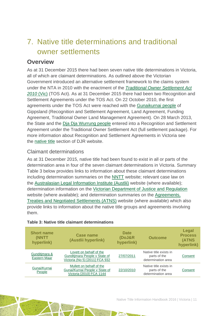## <span id="page-11-0"></span>7. Native title determinations and traditional owner settlements

### **Overview**

As at 31 December 2015 there had been seven native title determinations in Victoria, all of which are claimant determinations. As outlined above the Victorian Government introduced an alternative settlement framework to the claims system under the NTA in 2010 with the enactment of the *[Traditional Owner Settlement Act](http://www.austlii.edu.au/au/legis/vic/consol_act/tosa2010326/)  [2010](http://www.austlii.edu.au/au/legis/vic/consol_act/tosa2010326/)* (Vic) (TOS Act). As at 31 December 2015 there had been two Recognition and Settlement Agreements under the TOS Act. On 22 October 2010, the first agreements under the TOS Act were reached with the [Gunaikurnai people](http://www.justice.vic.gov.au/home/your+rights/native+title/gunaikurnai+native+title+agreement) of Gippsland (Recognition and Settlement Agreement, Land Agreement, Funding Agreement, Traditional Owner Land Management Agreement). On 28 March 2013, the State and the [Dja Dja Wurrung people](http://www.justice.vic.gov.au/home/your+rights/native+title/dja+dja+wurrung+settlement) entered into a Recognition and Settlement Agreement under the Traditional Owner Settlement Act (full settlement package). For more information about Recognition and Settlement Agreements in Victoria see the [native title](http://www.justice.vic.gov.au/home/your+rights/native+title/) section of DJR website.

#### Claimant determinations

As at 31 December 2015, native title had been found to exist in all or parts of the determination area in four of the seven claimant determinations in Victoria. Summary Table 3 below provides links to information about these claimant determinations including determination summaries on the [NNTT](http://www.nntt.gov.au/) website; relevant case law on the [Australasian Legal Information Institute \(Austlii\)](http://www.austlii.edu.au/) website (where available); determination information on the [Victorian Department of Justice and Regulation](http://www.justice.vic.gov.au/home/your+rights/native+title/) website (where available); and determination summaries on the [Agreements,](http://www.atns.net.au/)  [Treaties and Negotiated Settlements \(ATNS\)](http://www.atns.net.au/) website (where available) which also provide links to information about the native title groups and agreements involving them.

| <b>Short name</b><br>(NNTT<br>hyperlink) | Case name<br>(Austlii hyperlink)                                                           | <b>Date</b><br>(DoJ&R<br>hyperlink) | <b>Outcome</b>                                               | Legal<br><b>Process</b><br>(ATNS<br>hyperlink) |
|------------------------------------------|--------------------------------------------------------------------------------------------|-------------------------------------|--------------------------------------------------------------|------------------------------------------------|
| Gunditimara &<br>Eastern Maar            | Lovett on behalf of the<br>Gunditimara People v State of<br>Victoria (No 5) [2011] FCA 932 | 27/07/2011                          | Native title exists in<br>parts of the<br>determination area | Consent                                        |
| Gunai/Kurnai<br>People                   | Mullett on behalf of the<br>Gunai/Kurnai People v State of<br>Victoria [2010] FCA 1144     | 22/10/2010                          | Native title exists in<br>parts of the<br>determination area | Consent                                        |

#### **Table 3: Native title claimant determinations**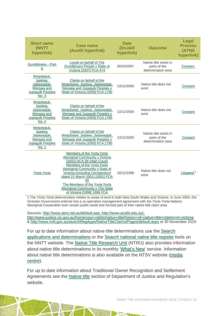| <b>Short name</b><br>(NNTT<br>hyperlink)                                                  | <b>Case name</b><br>(Austlii hyperlink)                                                                                                                                                                                                                                                                                                       | <b>Date</b><br>(DoJ&R<br>hyperlink) | <b>Outcome</b>                                               | Legal<br><b>Process</b><br><b>(ATNS</b><br>hyperlink) |
|-------------------------------------------------------------------------------------------|-----------------------------------------------------------------------------------------------------------------------------------------------------------------------------------------------------------------------------------------------------------------------------------------------------------------------------------------------|-------------------------------------|--------------------------------------------------------------|-------------------------------------------------------|
| Gunditimara - Part<br>A                                                                   | Lovett on behalf of The<br>Gunditimara People v State of<br>Victoria [2007] FCA 474                                                                                                                                                                                                                                                           | 30/03/2007                          | Native title exists in<br>parts of the<br>determination area | Consent                                               |
| Wotjobaluk,<br>Jaadwa,<br>Jadawadjali,<br>Wergaia and<br>Jupagulk Peoples<br>No. 3        | Clarke on behalf of the<br>Wotjobaluk, Jaadwa, Jadawadjali,<br>Wergaia and Jupagulk Peoples v<br>State of Victoria [2005] FCA 1795                                                                                                                                                                                                            | 13/12/2005                          | Native title does not<br>exist                               | Consent                                               |
| Wotjobaluk,<br>Jaadwa.<br>Jadawadjali,<br>Wergaia and<br><b>Jupagulk Peoples</b><br>No. 2 | Clarke on behalf of the<br>Wotjobaluk, Jaadwa, Jadawadjali,<br>Wergaia and Jupagulk Peoples v<br>State of Victoria [2005] FCA 1795                                                                                                                                                                                                            | 13/12/2005                          | Native title does not<br>exist                               | Consent                                               |
| Wotjobaluk,<br>Jaadwa,<br>Jadawadjali,<br>Wergaia and<br><b>Jupagulk Peoples</b><br>No. 1 | Clarke on behalf of the<br>Wotjobaluk, Jaadwa, Jadawadjali,<br>Wergaia and Jupagulk Peoples v<br>State of Victoria [2005] FCA 1795                                                                                                                                                                                                            | 13/12/2005                          | Native title exists in<br>parts of the<br>determination area | Consent                                               |
| <b>Yorta Yorta</b>                                                                        | Members of the Yorta Yorta<br>Aboriginal Community v Victoria<br>[2002] HCA 58 (High Court)<br>Members of the Yorta Yorta<br>Aboriginal Community v State of<br>Victoria (Including Corrigendum<br>dated 21 March 2001) [2001] FCA<br>45<br>The Members of the Yorta Yorta<br>Aboriginal Community v The State<br>of Victoria [1998] 1606 FCA | 18/12/1998                          | Native title does not<br>exist                               | Litigated $\frac{1}{x}$                               |

1 The *Yorta Yorta* determination relates to areas of land in both New South Wales and Victoria. In June 2004, the Victorian Government entered into a co-operative management agreement with the *Yorta Yorta* Nations Aboriginal Corporation over certain public lands that formed part of their native title claim area

Sources: [http://www.atns.net.au/default.asp,](http://www.atns.net.au/default.asp) [http://www.austlii.edu.au/,](http://www.austlii.edu.au/) <http://www.justice.vic.gov.au/home/your+rights/native+title/history+of+native+title+claims+in+victoria> & [http://www.nntt.gov.au/searchRegApps/NativeTitleClaims/Pages/default.aspx](http://www.nntt.gov.au/searchRegApps/NativeTitleClaims/Pages/default.aspx%20at%2030%20April%202015) at 30 November 2015

For up to date information about native title determinations use the [Search](http://www.nntt.gov.au/searchRegApps/NativeTitleClaims/Pages/default.aspx)  [applications and determinations](http://www.nntt.gov.au/searchRegApps/NativeTitleClaims/Pages/default.aspx) or the [Search national native title register](http://www.nntt.gov.au/searchRegApps/NativeTitleRegisters/Pages/Search-National-Native-Title-Register.aspx) tools on the NNTT website. The Native Title Research Unit (NTRU) also provides information about native title determinations in its monthly ['What's New'](http://aiatsis.gov.au/research/research-themes/native-title/publications/whats-new) service. Information about native title determinations is also available on the NTSV website [\(media](http://www.ntsv.com.au/media-centre/)  [centre\)](http://www.ntsv.com.au/media-centre/).

For up to date information about Traditional Owner Recognition and Settlement Agreements see the [Native title](http://www.justice.vic.gov.au/home/your+rights/native+title/) section of Department of Justice and Regulation's website.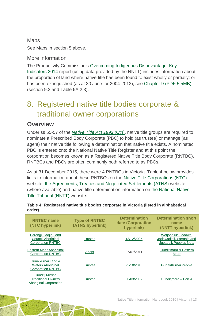### Maps See Maps in section 5 above.

More information

The Productivity Commission's [Overcoming Indigenous Disadvantage: Key](http://www.pc.gov.au/research/recurring/overcoming-indigenous-disadvantage/key-indicators-2014)  [Indicators 2014](http://www.pc.gov.au/research/recurring/overcoming-indigenous-disadvantage/key-indicators-2014) report (using data provided by the NNTT) includes information about the proportion of land where native title has been found to exist wholly or partially; or has been extinguished (as at 30 June for 2004-2013), see [Chapter 9 \(PDF](http://www.pc.gov.au/research/recurring/overcoming-indigenous-disadvantage/key-indicators-2014/09-key-indicators-2014-chapter9.pdf) 5.5MB) (section 9.2 and Table 9A.2.3).

## <span id="page-13-0"></span>8. Registered native title bodies corporate & traditional owner corporations

### **Overview**

Under ss 55-57 of the *[Native Title Act 1993](http://www.austlii.edu.au/au/legis/cth/consol_act/nta1993147/)* (Cth), native title groups are required to nominate a Prescribed Body Corporate (PBC) to hold (as trustee) or manage (as agent) their native title following a determination that native title exists. A nominated PBC is entered onto the National Native Title Register and at this point the corporation becomes known as a Registered Native Title Body Corporate (RNTBC). RNTBCs and PBCs are often commonly both referred to as PBCs.

As at 31 December 2015, there were 4 RNTBCs in Victoria. Table 4 below provides links to information about these RNTBCs on the [Native Title Corporations \(NTC\)](http://www.nativetitle.org.au/) website, the [Agreements, Treaties and Negotiated Settlements \(ATNS\)](http://www.atns.net.au/) website (where available) and native title determination information on the [National Native](http://www.nntt.gov.au/)  [Title Tribunal \(NNTT\)](http://www.nntt.gov.au/) website.

| Table 4: Registered native title bodies corporate in Victoria (listed in alphabetical |  |  |  |  |
|---------------------------------------------------------------------------------------|--|--|--|--|
| order)                                                                                |  |  |  |  |
|                                                                                       |  |  |  |  |

| <b>RNTBC</b> name<br>(NTC hyperlink)                                                 | <b>Type of RNTBC</b><br>(ATNS hyperlink) | <b>Determination</b><br>date (Corporation<br>hyperlink) | <b>Determination short</b><br>name<br>(NNTT hyperlink)                   |
|--------------------------------------------------------------------------------------|------------------------------------------|---------------------------------------------------------|--------------------------------------------------------------------------|
| Barengi Gadjin Land<br>Council Aboriginal<br><b>Corporation RNTBC</b>                | Trustee                                  | 13/12/2005                                              | Wotjobaluk, Jaadwa,<br>Jadawadjali, Wergaia and<br>Jupagulk Peoples No 1 |
| Eastern Maar Aboriginal<br><b>Corporation RNTBC</b>                                  | Agent                                    | 27/07/2011                                              | Gunditimara & Eastern<br>Maar                                            |
| Gunaikurnai Land &<br><b>Waters Aboriginal</b><br><b>Corporation RNTBC</b>           | <b>Trustee</b>                           | 25/10/2010                                              | Gunai/Kurnai People                                                      |
| <b>Gunditi Mirring</b><br><b>Traditional Owners</b><br><b>Aboriginal Corporation</b> | Trustee                                  | 30/03/2007                                              | Gunditimara - Part A                                                     |

Native Title Information Handbook 2016 | Victoria | 13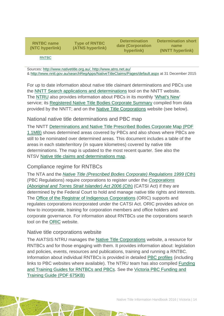**RNTBC name [\(NTC](http://www.oric.gov.au/) hyperlink)**

**Type of RNTBC [\(ATNS hyperlink\)](http://www.atns.net.au/)**

**Determination date (Corporation hyperlink)**

**Determination short name [\(NNTT hyperlink\)](http://www.nntt.gov.au/)**

[RNTBC](http://nativetitle.org.au/profiles/profile_vic_gunditjmirring.html)

Sources: [http://www.nativetitle.org.au/,](http://www.nativetitle.org.au/)<http://www.atns.net.au/> &<http://www.nntt.gov.au/searchRegApps/NativeTitleClaims/Pages/default.aspx> at 31 December 2015

For up to date information about native title claimant determinations and PBCs use the [NNTT Search applications and determinations](http://www.nntt.gov.au/searchRegApps/NativeTitleClaims/Pages/default.aspx) tool on the NNTT website. The [NTRU](http://aiatsis.gov.au/research/research-themes/native-title) also provides information about PBCs in its monthly ['What's New'](http://aiatsis.gov.au/research/research-themes/native-title/publications/whats-new) service; its [Registered Native Title Bodies Corporate Summary](http://aiatsis.gov.au/publications/products/registered-native-title-bodies-corporate-prescribed-bodies-corporate-summary) compiled from data provided by the NNTT; and on the [Native Title Corporations](http://www.nativetitle.org.au/) website (see below).

#### National native title determinations and PBC map

The NNTT [Determinations and Native Title Prescribed Bodies Corporate Map \(PDF](http://www.nntt.gov.au/Maps/Determinations_and_PBCs_map.pdf)  [1.1MB\)](http://www.nntt.gov.au/Maps/Determinations_and_PBCs_map.pdf) shows determined areas covered by PBCs and also shows where PBCs are still to be nominated over determined areas. This document includes a table of the areas in each state/territory (in square kilometres) covered by native title determinations. The map is updated to the most recent quarter. See also the NTSV [Native title claims and determinations map.](http://www.ntsv.com.au/150701_website_map_a4_ls/)

#### Compliance regime for RNTBCs

The NTA and the *[Native Title \(Prescribed Bodies Corporate\) Regulations 1999](http://www.austlii.edu.au/au/legis/cth/consol_reg/ntbcr1999495/)* (Cth) (PBC Regulations) require corporations to register under the *[Corporations](http://www5.austlii.edu.au/au/legis/cth/consol_act/catsia2006510/)  [\(Aboriginal and Torres Strait Islander\) Act 2006](http://www5.austlii.edu.au/au/legis/cth/consol_act/catsia2006510/)* (Cth) (CATSI Act) if they are determined by the Federal Court to hold and manage native title rights and interests. The [Office of the Registrar of Indigenous Corporations](http://www.oric.gov.au/) (ORIC) supports and regulates corporations incorporated under the CATSI Act. ORIC provides advice on how to incorporate, training for corporation members and office holders and corporate governance. For information about RNTBCs use the corporations search tool on the [ORIC](http://www.oric.gov.au/) website.

#### Native title corporations website

The AIATSIS NTRU manages the [Native Title Corporations](http://www.nativetitle.org.au/) website, a resource for RNTBCs and for those engaging with them. It provides information about: legislation and policies, events, resources and publications, training and running a RNTBC. Information about individual RNTBCs is provided in detailed [PBC profiles](http://www.nativetitle.org.au/profiles.html) (including links to PBC websites where available). The NTRU team has also compiled [Funding](http://nativetitle.org.au/toolkits.html)  [and Training Guides for RNTBCs and PBCs.](http://nativetitle.org.au/toolkits.html) See the [Victoria PBC Funding and](http://nativetitle.org.au/PDFs/VIC_funding_training_guide.pdf)  [Training Guide \(PDF 675KB\)](http://nativetitle.org.au/PDFs/VIC_funding_training_guide.pdf)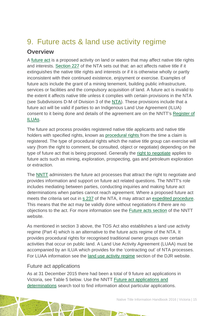## <span id="page-15-0"></span>9. Future acts & land use activity regime

### **Overview**

A [future act](http://www.nntt.gov.au/Pages/Glossary.aspx) is a proposed activity on land or waters that may affect native title rights and interests. [Section 227](http://www.austlii.edu.au/au/legis/cth/consol_act/nta1993147/s227.html) of the NTA sets out that: an act affects native title if it extinguishes the native title rights and interests or if it is otherwise wholly or partly inconsistent with their continued existence, enjoyment or exercise. Examples of future acts include the grant of a mining tenement, building public infrastructure, services or facilities and the compulsory acquisition of land. A future act is invalid to the extent it affects native title unless it complies with certain provisions in the NTA (see Subdivisions D-M of Division 3 of the [NTA\)](http://www.austlii.edu.au/au/legis/cth/consol_act/nta1993147/). These provisions include that a future act will be valid if parties to an Indigenous Land Use Agreement (ILUA) consent to it being done and details of the agreement are on the NNTT's [Register of](http://www.nntt.gov.au/searchRegApps/NativeTitleRegisters/Pages/Search-Register-of-Indigenous-Land-Use-Agreements.aspx)  [ILUAs.](http://www.nntt.gov.au/searchRegApps/NativeTitleRegisters/Pages/Search-Register-of-Indigenous-Land-Use-Agreements.aspx)

The future act process provides registered native title applicants and native title holders with specified rights, known as [procedural rights f](http://www.nntt.gov.au/Pages/Glossary.aspx)rom the time a claim is registered. The type of procedural rights which the native title group can exercise will vary (from the right to comment, be consulted, object or negotiate) depending on the type of future act that is being proposed. Generally the [right to negotiate](http://www.nntt.gov.au/Pages/Glossary.aspx) applies to future acts such as mining, exploration, prospecting, gas and petroleum exploration or extraction.

The [NNTT](http://www.nntt.gov.au/Pages/Home-Page.aspx) administers the future act processes that attract the right to negotiate and provides information and support on future act related questions. The NNTT's role includes mediating between parties, conducting inquiries and making future act determinations when parties cannot reach agreement. Where a proposed future act meets the criteria set out in s [237](http://www.austlii.edu.au/au/legis/cth/consol_act/nta1993147/s237.html) of the NTA, it may attract an [expedited procedure.](http://www.nntt.gov.au/Pages/Glossary.aspx) This means that the act may be validly done without negotiations if there are no objections to the act. For more information see the [Future acts section](http://www.nntt.gov.au/futureacts/Pages/default.aspx) of the NNTT website.

As mentioned in section 3 above, the TOS Act also establishes a land use activity regime (Part 4) which is an alternative to the future acts regime of the NTA. It provides procedural rights for recognised traditional owner groups over certain activities that occur on public land. A Land Use Activity Agreement (LUAA) must be accompanied by an ILUA which provides for the 'contracting out' of NTA processes. For LUAA information see the [land use activity regime](http://www.justice.vic.gov.au/home/your+rights/native+title/traditional+owner+settlement+act) section of the DJR website.

#### Future act applications

As at 31 December 2015 there had been a total of 9 future act applications in Victoria, see Table 5 below. Use the NNTT [Future act applications and](http://www.nntt.gov.au/searchRegApps/FutureActs/Pages/default.aspx)  [determinations](http://www.nntt.gov.au/searchRegApps/FutureActs/Pages/default.aspx) search tool to find information about particular applications.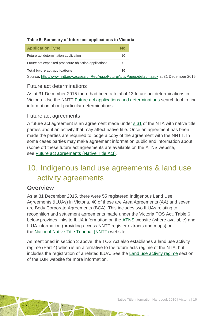#### **Table 5: Summary of future act applications in Victoria**

| <b>Application Type</b>                               | N۵ |
|-------------------------------------------------------|----|
| Future act determination application                  | 10 |
| Future act expedited procedure objection applications | O  |
| <b>Total future act applications</b>                  | 10 |

Source: <http://www.nntt.gov.au/searchRegApps/FutureActs/Pages/default.aspx> at 31 December 2015

#### Future act determinations

As at 31 December 2015 there had been a total of 13 future act determinations in Victoria. Use the NNTT [Future act applications and determinations](http://www.nntt.gov.au/searchRegApps/FutureActs/Pages/default.aspx) search tool to find information about particular determinations.

#### Future act agreements

A future act agreement is an agreement made under  $s$  31 of the NTA with native title parties about an activity that may affect native title. Once an agreement has been made the parties are required to lodge a copy of the agreement with the NNTT. In some cases parties may make agreement information public and information about (some of) these future act agreements are available on the ATNS website, see [Future act agreements \(Native Title Act\).](http://www.atns.net.au/subcategory.asp?subcategoryID=120)

## <span id="page-16-0"></span>10. Indigenous land use agreements & land use activity agreements

#### **Overview**

As at 31 December 2015, there were 55 registered Indigenous Land Use Agreements (ILUAs) in Victoria, 48 of these are Area Agreements (AA) and seven are Body Corporate Agreements (BCA). This includes two ILUAs relating to recognition and settlement agreements made under the Victoria TOS Act. Table 6 below provides links to ILUA information on the [ATNS](http://www.atns.net.au/) website (where available) and ILUA information (providing access NNTT register extracts and maps) on the [National Native Title Tribunal](http://www.nntt.gov.au/) (NNTT) website.

As mentioned in section 3 above, the TOS Act also establishes a land use activity regime (Part 4) which is an alternative to the future acts regime of the NTA, but includes the registration of a related ILUA. See the [Land use activity regime](http://www.justice.vic.gov.au/home/your+rights/native+title/traditional+owner+settlement+act) section of the DJR website for more information.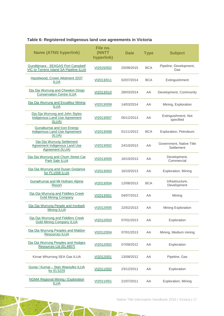#### **Table 6: Registered Indigenous land use agreements in Victoria**

| <b>Name (ATNS hyperlink)</b>                                                           | File no.<br>(NNTT<br>hyperlink) | <b>Date</b> | <b>Type</b> | <b>Subject</b>                         |
|----------------------------------------------------------------------------------------|---------------------------------|-------------|-------------|----------------------------------------|
| Gunditjmara - SEAGAS Port Campbell<br><b>VIC to Torrens Island SA Pipeline ILUA</b>    | VI2015/002                      | 25/08/2015  | <b>BCA</b>  | Pipeline, Development,<br>Gas          |
| Hazelwood, Crown Allotment 2037<br><b>ILUA</b>                                         | VI2013/011                      | 02/07/2014  | BCA         | Extinguishment                         |
| Dja Dja Wurrung and Chewton Dingo<br><b>Conservation Centre ILUA</b>                   | VI2013/010                      | 28/03/2014  | AA          | Development, Community                 |
| Dia Dia Wurrung and Excalibur Mining<br><b>ILUA</b>                                    | VI2013/009                      | 14/03/2014  | AA          | Mining, Exploration                    |
| Dja Dja Wurrung and John Styles<br><b>Indigenous Land Use Agreement</b><br>(ILUA)      | VI2013/007                      | 05/12/2013  | AA          | Extinguishment, Not<br>specified       |
| Gunaikurnai and Icon Energy<br><b>Indigenous Land Use Agreement</b><br>(ILUA)          | VI2013/008                      | 01/11/2013  | BCA         | Exploration, Petroleum                 |
| Dja Dja Wurrung Settlement<br><b>Agreement Indigenous Land Use</b><br>Agreement (ILUA) | VI2013/002                      | 24/10/2013  | AA          | Government, Native Title<br>Settlement |
| Dja Dja Wurrung and Chum Street Car<br>Park Sale ILUA                                  | VI2013/005                      | 16/10/2013  | AA          | Development,<br>Commercial             |
| Dja Dja Wurrung and Dusan Gorjance<br>for PL1008 ILUA                                  | VI2013/003                      | 16/10/2013  | AA          | Exploration, Mining                    |
| GunaiKurnai and Mt Hotham Alpine<br>Resort                                             | VI2013/004                      | 12/08/2013  | <b>BCA</b>  | Infrastructure,<br>Development         |
| Dja Dja Wurrung and Fiddlers Creek<br><b>Gold Mining Company</b>                       | VI2013/001                      | 04/07/2013  | AA          | Mining                                 |
| Dja Dja Wurrung People and Ironbark<br><b>Mining ILUA</b>                              | VI2012/005                      | 22/02/2013  | AA          | Mining Exploration                     |
| Dia Dia Wurrung and Fiddlers Creek<br><b>Gold Mining Company ILUA</b>                  | VI2012/003                      | 07/01/2013  | AA          | Exploration                            |
| Dja Dja Wurrung Peoples and Maldon<br>Resources ILUA                                   | VI2012/004                      | 07/01/2013  | AA          | Mining, Medium mining                  |
| Dia Dia Wurrung Peoples and Hodges<br>Resources Ltd (EL4907)                           | VI2012/002                      | 07/09/2012  | AA          | Exploration                            |
| Kirrae Whurrong SEA Gas ILUA                                                           | VI2012/001                      | 13/08/2012  | AA          | Pipeline, Gas                          |
| Gunai / Kurnai - Stan Wassylko ILUA<br>for EL5229                                      | VI2011/002                      | 23/12/2011  | AA          | Exploration                            |
| <b>NGMA Regional Mining / Exploration</b><br><b>ILUA</b>                               | VI2011/001                      | 21/07/2011  | AA          | Exploration, Mining                    |

a.

Native Title Information Handbook 2016 | Victoria | 17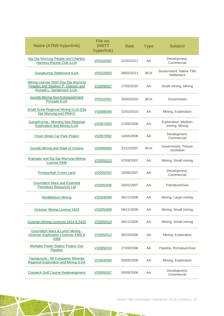| <b>Name (ATNS hyperlink)</b>                                                                             | File no.<br>(NNTT<br>hyperlink) | <b>Date</b> | <b>Type</b> | <b>Subject</b>                         |
|----------------------------------------------------------------------------------------------------------|---------------------------------|-------------|-------------|----------------------------------------|
| Dia Dia Wurrung People and Charlton<br><b>Harness Racing Club ILUA</b>                                   | VI2010/002                      | 31/03/2011  | AA          | Development,<br>Commercial             |
| Gunaikurnai Settlement ILUA                                                                              | VI2010/003                      | 08/02/2011  | <b>BCA</b>  | Government, Native Title<br>Settlement |
| Mining License 5503 (Dja Dja Wurrung<br>Peoples and Stephen P. Glasson and<br>Russell L. Sanderson) ILUA | VI2009/007                      | 27/05/2010  | AA          | Small mining, Mining                   |
| <b>Gunditj Mirring Non-Extinguishment</b><br>Principle ILUA                                              | VI2010/001                      | 30/03/2010  | <b>BCA</b>  | Government                             |
| Small Scale Regional Mining ILUA (Dja<br>Dja Wurrung and PMAV)                                           | VI2008/006                      | 22/02/2010  | AA          | Mining, Exploration                    |
| Gunai/Kurnai - Morning Star Regional<br><b>Exploration and Mining ILUA</b>                               | VI2007/005                      | 27/06/2008  | AA          | Exploration, Medium<br>mining, Mining  |
| Chum Street Car Park Project                                                                             | VI2007/002                      | 14/05/2008  | AA          | Development,<br>Commercial             |
| <b>Gunditj Mirring and State of Victoria</b>                                                             | VI2006/004                      | 31/10/2007  | <b>BCA</b>  | Government, Tenure<br>resolution       |
| Kralcopic and Dja Dja Wurrung Mining<br>License 5446                                                     | VI2005/013                      | 07/09/2007  | AA          | Mining, Small mining                   |
| Porepunkah Crown Land                                                                                    | VI2005/002                      | 19/06/2007  | AA          | Development,<br>Commercial             |
| Gournditch Mara and Essential<br>Petroleum Resources Ltd                                                 | VI2005/006                      | 30/01/2007  | AA          | Petroleum/Gas                          |
| <b>Wedderburn Mining</b>                                                                                 | VI2004/006                      | 06/11/2006  | AA          | Mining, Large mining                   |
| Victorian Mining Licence 5433                                                                            | VI2005/009                      | 06/11/2006  | AA          | Mining, Small mining                   |
| Victorian Mining Licences 5414 & 5415                                                                    | VI2005/014                      | 06/11/2006  | AA          | Mining, Small mining                   |
| Gournditch Mara & Lynch Mining -<br>Victorian Exploration Licences 4368 &<br>4369                        | VI2005/012                      | 06/10/2006  | AA          | Mining, Exploration                    |
| Mortlake Power Station Project Gas<br>Pipeline                                                           | VI2005/016                      | 27/09/2006  | AA          | Pipeline, Petroleum/Gas                |
| Taungurung - Mt Conqueror Minerals<br>Regional Exploration and Mining ILUA                               | VI2004/004                      | 05/05/2006  | AA          | Mining, Exploration                    |
| <b>Creswick Golf Course Redevelopment</b>                                                                | VI2005/007                      | 05/05/2006  | AA          | Development,<br>Commercial             |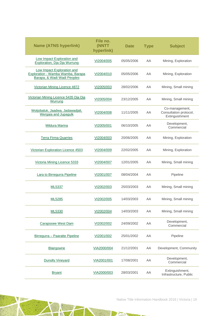| <b>Name (ATNS hyperlink)</b>                                                                   | File no.<br>(NNTT<br>hyperlink) | <b>Date</b> | <b>Type</b> | <b>Subject</b>                                             |
|------------------------------------------------------------------------------------------------|---------------------------------|-------------|-------------|------------------------------------------------------------|
| Low Impact Exploration and<br>Exploration, Dja Dja Wurrung                                     | VI2004/005                      | 05/05/2006  | AA          | Mining, Exploration                                        |
| Low Impact Exploration and<br>Exploration - Wamba Wamba, Barapa<br>Barapa, & Wadi Wadi Peoples | VI2004/010                      | 05/05/2006  | AA          | Mining, Exploration                                        |
| Victorian Mining Licence 4872                                                                  | VI2005/003                      | 28/02/2006  | AA          | Mining, Small mining                                       |
| Victorian Mining Licence 5435 Dja Dja<br><u>Wurrung</u>                                        | VI2005/004                      | 23/12/2005  | AA          | Mining, Small mining                                       |
| Wotjobaluk, Jaadwa, Jadawadjali,<br>Wergaia and Jupagulk                                       | VI2004/008                      | 11/11/2005  | AA          | Co-management,<br>Consultation protocol,<br>Extinguishment |
| <b>Mildura Marina</b>                                                                          | VI2005/001                      | 06/10/2005  | AA          | Development,<br>Commercial                                 |
| <b>Terra Firma Quarries</b>                                                                    | VI2004/003                      | 20/06/2005  | AA          | Mining, Exploration                                        |
| Victorian Exploration Licence 4503                                                             | VI2004/009                      | 22/02/2005  | AA          | Mining, Exploration                                        |
| Victoria Mining Licence 5333                                                                   | VI2004/007                      | 12/01/2005  | AA          | Mining, Small mining                                       |
| Lara to Birregurra Pipeline                                                                    | VI2001/007                      | 08/04/2004  | AA          | Pipeline                                                   |
| <b>ML5337</b>                                                                                  | VI2002/003                      | 25/03/2003  | AA          | Mining, Small mining                                       |
| ML5285                                                                                         | VI2002/005                      | 14/03/2003  | AA          | Mining, Small mining                                       |
| ML5330                                                                                         | VI2002/004                      | 14/03/2003  | AA          | Mining, Small mining                                       |
| Carapooee West Dam                                                                             | VI2002/002                      | 24/09/2002  | AA          | Development,<br>Commercial                                 |
| Birregurra - Paaratte Pipeline                                                                 | VI2001/002                      | 25/01/2002  | AA          | Pipeline                                                   |
| Blairgowrie                                                                                    | VIA2000/004                     | 21/12/2001  | AA          | Development, Community                                     |
| <b>Dunolly Vineyard</b>                                                                        | VIA2001/001                     | 17/08/2001  | AA          | Development,<br>Commercial                                 |
| <b>Bryant</b>                                                                                  | VIA2000/003                     | 28/03/2001  | AA          | Extinguishment,<br>Infrastructure, Public                  |

PN BOT

A

 $\tau_{\rm ext}$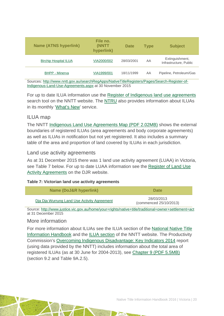| <b>Name (ATNS hyperlink)</b> | File no.<br>(NNTT<br>hyperlink) | <b>Date</b> | <b>Type</b> | <b>Subject</b>                            |
|------------------------------|---------------------------------|-------------|-------------|-------------------------------------------|
| <b>Birchip Hospital ILUA</b> | VIA2000/002                     | 28/03/2001  | AA          | Extinguishment,<br>Infrastructure, Public |
| <b>BHPP - Minerva</b>        | VIA1999/001                     | 18/11/1999  | AA          | Pipeline, Petroleum/Gas                   |

Sources: [http://www.nntt.gov.au/searchRegApps/NativeTitleRegisters/Pages/Search-Register-of-](http://www.nntt.gov.au/searchRegApps/NativeTitleRegisters/Pages/Search-Register-of-Indigenous-Land-Use-Agreements.aspx)[Indigenous-Land-Use-Agreements.aspx](http://www.nntt.gov.au/searchRegApps/NativeTitleRegisters/Pages/Search-Register-of-Indigenous-Land-Use-Agreements.aspx) at 30 November 2015

For up to date ILUA information use the [Register of Indigenous land use agreements](http://www.nntt.gov.au/searchRegApps/NativeTitleRegisters/Pages/Search-Register-of-Indigenous-Land-Use-Agreements.aspx) search tool on the NNTT website. The [NTRU](http://aiatsis.gov.au/research/research-themes/native-title) also provides information about ILUAs in its monthly ['What's New'](http://aiatsis.gov.au/research/research-themes/native-title/publications/whats-new) service.

#### ILUA map

The NNTT [Indigenous Land Use Agreements Map \(PDF 2.02MB\)](http://www.nntt.gov.au/Maps/ILUAs_map.pdf) shows the external boundaries of registered ILUAs (area agreements and body corporate agreements) as well as ILUAs in notification but not yet registered. It also includes a summary table of the area and proportion of land covered by ILUAs in each jurisdiction.

#### Land use activity agreements

As at 31 December 2015 there was 1 land use activity agreement (LUAA) in Victoria, see Table 7 below. For up to date LUAA information see the [Register of Land Use](http://www.justice.vic.gov.au/home/your+rights/native+title/register+of+land+use+activity+agreements)  [Activity Agreements](http://www.justice.vic.gov.au/home/your+rights/native+title/register+of+land+use+activity+agreements) on the DJR website.

#### **Table 7: Victorian land use activity agreements**

| Name (DoJ&R hyperlink)                      | <b>Date</b>                          |  |  |  |
|---------------------------------------------|--------------------------------------|--|--|--|
| Dia Dia Wurrung Land Use Activity Agreement | 28/03/2013<br>(commenced 25/10/2013) |  |  |  |

Source:<http://www.justice.vic.gov.au/home/your+rights/native+title/traditional+owner+settlement+act> at 31 December 2015

#### More information

For more information about ILUAs see the ILUA section of the [National Native Title](http://aiatsis.gov.au/publications/products/native-title-information-handbooks)  [Information Handbook](http://aiatsis.gov.au/publications/products/native-title-information-handbooks) and the [ILUA section](http://www.nntt.gov.au/ILUAs/Pages/default.aspx) of the NNTT website. The Productivity Commission's [Overcoming Indigenous Disadvantage: Key Indicators 2014](http://www.pc.gov.au/research/recurring/overcoming-indigenous-disadvantage/key-indicators-2014) report (using data provided by the NNTT) includes information about the total area of registered ILUAs (as at 30 June for 2004-2013), see [Chapter 9 \(PDF](http://www.pc.gov.au/research/recurring/overcoming-indigenous-disadvantage/key-indicators-2014/09-key-indicators-2014-chapter9.pdf) 5.5MB) (section 9.2 and Table 9A.2.5).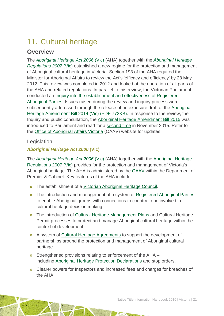## <span id="page-21-0"></span>11. Cultural heritage

### **Overview**

The *[Aboriginal Heritage Act 2006](http://www.austlii.edu.au/au/legis/vic/consol_act/aha2006164/)* (Vic) (AHA) together with the *[Aboriginal Heritage](http://www5.austlii.edu.au/au/legis/vic/consol_reg/ahr2007273/)  [Regulations 2007](http://www5.austlii.edu.au/au/legis/vic/consol_reg/ahr2007273/)* (Vic) established a new regime for the protection and management of Aboriginal cultural heritage in Victoria. Section 193 of the AHA required the Minister for Aboriginal Affairs to review the Act's 'efficacy and efficiency' by 28 May 2012. This review was completed in 2012 and looked at the operation of all parts of the AHA and related regulations. In parallel to this review, the Victorian Parliament conducted an [Inquiry into the establishment and effectiveness of Registered](http://www.parliament.vic.gov.au/enrc/article/1420)  [Aboriginal Parties.](http://www.parliament.vic.gov.au/enrc/article/1420) Issues raised during the review and inquiry process were subsequently addressed through the release of an exposure draft of the [Aboriginal](http://www.dpc.vic.gov.au/images/documents/Aboriginal_Affairs/Aboriginal_Heritage_Amendment_Bill_Exposure_Draft.pdf)  [Heritage Amendment Bill 2014 \(Vic\) \(PDF 772KB\).](http://www.dpc.vic.gov.au/images/documents/Aboriginal_Affairs/Aboriginal_Heritage_Amendment_Bill_Exposure_Draft.pdf) In response to the review, the Inquiry and public consultation, the [Aboriginal Heritage Amendment Bill 2015](http://www.legislation.vic.gov.au/domino/Web_Notes/LDMS/PubPDocs.nsf/ee665e366dcb6cb0ca256da400837f6b/AFBEA6037F5C48C0CA257EF9007BB4B7/$FILE/581069bi1.pdf) was introduced to Parliament and read for a [second time](http://hansard.parliament.vic.gov.au/search/?LDMS=Y&IW_FIELD_ADVANCE_PHRASE=be+now+read+a+second+time&IW_FIELD_IN_SpeechTitle=Aboriginal+Heritage+Amendment+Bill+2015&IW_FIELD_IN_HOUSENAME=ASSEMBLY&IW_FIELD_IN_ACTIVITYTYPE=Second+Reading&IW_FIELD_IN_SittingYear=2015&IW_DATABASE=*) in November 2015. Refer to the [Office of Aboriginal Affairs Victoria](http://www.dpc.vic.gov.au/index.php/aboriginal-affairs/about-the-office-of-aboriginal-affairs-victoria) (OAAV) website for updates.

#### Legislation

#### *Aboriginal Heritage Act 2006* **(Vic)**

The *[Aboriginal Heritage Act 2006](http://www.austlii.edu.au/au/legis/vic/consol_act/aha2006164/)* (Vic) (AHA) together with the [Aboriginal Heritage](http://www5.austlii.edu.au/au/legis/vic/consol_reg/ahr2007273/)  [Regulations 2007](http://www5.austlii.edu.au/au/legis/vic/consol_reg/ahr2007273/) (Vic) provides for the protection and management of Victoria's Aboriginal heritage. The AHA is administered by the [OAAV](http://www.dpc.vic.gov.au/index.php/aboriginal-affairs/aboriginal-affairs-overview) within the Department of Premier & Cabinet. Key features of the AHA include:

- o The establishment of a [Victorian Aboriginal Heritage Council.](http://www.dpc.vic.gov.au/index.php/aboriginal-affairs/victorian-aboriginal-heritage-council)
- o The introduction and management of a system of [Registered Aboriginal Parties](http://www.dpc.vic.gov.au/index.php/aboriginal-affairs/registered-aboriginal-parties) to enable Aboriginal groups with connections to country to be involved in cultural heritage decision making.
- **o** The introduction of [Cultural Heritage Management Plans](http://www.dpc.vic.gov.au/index.php/aboriginal-affairs/aboriginal-cultural-heritage/cultural-heritage-management-plans) and Cultural Heritage Permit processes to protect and manage Aboriginal cultural heritage within the context of development.
- **o** A system of [Cultural Heritage Agreements](http://www.dpc.vic.gov.au/index.php/aboriginal-affairs/aboriginal-cultural-heritage/aboriginal-heritage-act-2006/cultural-heritage-agreements) to support the development of partnerships around the protection and management of Aboriginal cultural heritage.
- o Strengthened provisions relating to enforcement of the AHA including [Aboriginal Heritage Protection Declarations](http://www.dpc.vic.gov.au/index.php/aboriginal-affairs/aboriginal-cultural-heritage/aboriginal-heritage-act-2006/aboriginal-heritage-protection-declarations) and stop orders.
- **o** Clearer powers for Inspectors and increased fees and charges for breaches of the AHA.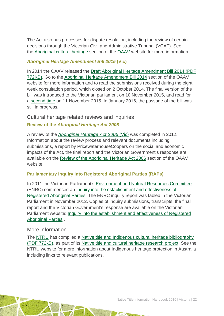The Act also has processes for dispute resolution, including the review of certain decisions through the Victorian Civil and Administrative Tribunal (VCAT). See the [Aboriginal cultural heritage](http://www.dpc.vic.gov.au/index.php/aboriginal-affairs/aboriginal-cultural-heritage/review-of-the-aboriginal-heritage-act-2006/aboriginal-heritage-amendment-bill-2014--exposure-draft) section of the [OAAV](http://www.dpc.vic.gov.au/index.php/aboriginal-affairs/aboriginal-affairs-overview) website for more information.

#### *Aboriginal Heritage Amendment Bill 2015* **(Vic)**

In 2014 the OAAV released the [Draft Aboriginal Heritage Amendment Bill 2014 \(PDF](http://www.dpc.vic.gov.au/images/documents/Aboriginal_Affairs/Aboriginal_Heritage_Amendment_Bill_Exposure_Draft.pdf)  [772KB\).](http://www.dpc.vic.gov.au/images/documents/Aboriginal_Affairs/Aboriginal_Heritage_Amendment_Bill_Exposure_Draft.pdf) Go to the [Aboriginal Heritage Amendment Bill 2014](http://www.dpc.vic.gov.au/index.php/aboriginal-affairs/aboriginal-cultural-heritage/review-of-the-aboriginal-heritage-act-2006/aboriginal-heritage-amendment-bill-2014--exposure-draft) section of the OAAV website for more information and to read the submissions received during the eight week consultation period, which closed on 2 October 2014. The final version of the bill was introduced to the Victorian parliament on 10 November 2015, and read for a [second time](http://hansard.parliament.vic.gov.au/search/?LDMS=Y&IW_FIELD_ADVANCE_PHRASE=be+now+read+a+second+time&IW_FIELD_IN_SpeechTitle=Aboriginal+Heritage+Amendment+Bill+2015&IW_FIELD_IN_HOUSENAME=ASSEMBLY&IW_FIELD_IN_ACTIVITYTYPE=Second+Reading&IW_FIELD_IN_SittingYear=2015&IW_DATABASE=*) on 11 November 2015. In January 2016, the passage of the bill was still in progress.

### Cultural heritage related reviews and inquiries

#### **Review of the** *Aboriginal Heritage Act 2006*

A review of the *Aboriginal [Heritage Act 2006](http://www.austlii.edu.au/au/legis/vic/consol_act/aha2006164/)* (Vic) was completed in 2012. Information about the review process and relevant documents including submissions, a report by PricewaterhouseCoopers on the social and economic impacts of the Act, the final report and the Victorian Government's response are available on the [Review of the Aboriginal Heritage Act 2006](http://www.dpc.vic.gov.au/index.php/aboriginal-affairs/aboriginal-cultural-heritage/review-of-the-aboriginal-heritage-act-2006) section of the OAAV website.

#### **Parliamentary Inquiry into Registered Aboriginal Parties (RAPs)**

In 2011 the Victorian Parliament's [Environment and Natural Resources Committee](http://www.parliament.vic.gov.au/enrc) (ENRC) commenced an [Inquiry into the establishment and effectiveness of](http://www.parliament.vic.gov.au/enrc/inquiry/294)  [Registered Aboriginal Parties.](http://www.parliament.vic.gov.au/enrc/inquiry/294) The ENRC inquiry report was tabled in the Victorian Parliament in November 2012. Copies of inquiry submissions, transcripts, the final report and the Victorian Government's response are available on the Victorian Parliament website: [Inquiry into the establishment and effectiveness of Registered](http://www.parliament.vic.gov.au/enrc/inquiry/294)  [Aboriginal Parties](http://www.parliament.vic.gov.au/enrc/inquiry/294) .

#### More information

The [NTRU](http://aiatsis.gov.au/research/research-themes/native-title) has compiled a [Native title and Indigenous cultural heritage bibliography](http://aiatsis.gov.au/publications/products/native-title-and-indigenous-cultural-heritage-management-bibliography)  [\(PDF 772kB\),](http://aiatsis.gov.au/publications/products/native-title-and-indigenous-cultural-heritage-management-bibliography) as part of its [Native title and cultural heritage research project.](http://aiatsis.gov.au/research-and-guides/native-title-and-cultural-heritage) See the NTRU website for more information about Indigenous heritage protection in Australia including links to relevant publications.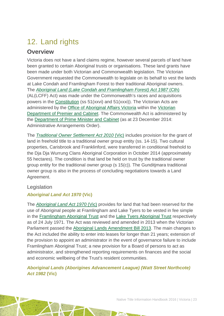## <span id="page-23-0"></span>12. Land rights

### **Overview**

Victoria does not have a land claims regime, however several parcels of land have been granted to certain Aboriginal trusts or organisations. These land grants have been made under both Victorian and Commonwealth legislation. The Victorian Government requested the Commonwealth to legislate on its behalf to vest the lands at Lake Condah and Framlingham Forest to their traditional Aboriginal owners. The *[Aboriginal Land \(Lake Condah and Framlingham Forest\) Act 1987](http://www.austlii.edu.au/au/legis/cth/num_act/alcaffa1987374/)* (Cth) (AL(LCFF) Act) was made under the Commonwealth's races and acquisitions powers in the [Constitution](http://www.aph.gov.au/About_Parliament/Senate/Powers_practice_n_procedures/Constitution) (ss 51(xxvi) and 51(xxxi)). The Victorian Acts are administered by the [Office of Aboriginal Affairs Victoria](http://www.dpc.vic.gov.au/index.php/aboriginal-affairs/aboriginal-affairs-overview) within the Victorian [Department of Premier and Cabinet.](http://www.dpc.vic.gov.au/) The Commonwealth Act is administered by the [Department of Prime Minister and Cabinet](http://www.dpmc.gov.au/) (as at 23 December 2014: Administrative Arrangements Order).

The *[Traditional Owner Settlement](http://www.austlii.edu.au/au/legis/vic/consol_act/tosa2010326/) Act 2010* (Vic) includes provision for the grant of land in freehold title to a traditional owner group entity (ss. 14-15). Two cultural properties, Carisbrook and Franklinford, were transferred in conditional freehold to the Dja Dja Wurrung Clans Aboriginal Corporation in October 2014 (approximately 55 hectares). The condition is that land be held on trust by the traditional owner group entity for the traditional owner group (s 15(c)). The Gunditjmara traditional owner group is also in the process of concluding negotiations towards a Land Agreement.

### Legislation

#### *Aboriginal Land Act 1970* **(Vic)**

The *[Aboriginal Land Act 1970](http://www.austlii.edu.au/au/legis/vic/consol_act/ala1970144/)* (Vic) provides for land that had been reserved for the use of Aboriginal people at Framlingham and Lake Tyers to be vested in fee simple in the [Framlingham Aboriginal Trust](http://www.atns.net.au/agreement.asp?SubcategoryID=136&EntityID=879) and the [Lake Tyers Aboriginal Trust](http://www.atns.net.au/agreement.asp?SubcategoryID=136&EntityID=3464) respectively as of 24 July 1971. The Act was reviewed and amended in 2013 when the Victorian Parliament passed the [Aboriginal Lands Amendment Bill 2013.](http://www.austlii.edu.au/au/legis/vic/bill/alab2013234/) The main changes to the Act included the ability to enter into leases for longer than 21 years; extension of the provision to appoint an administrator in the event of governance failure to include Framlingham Aboriginal Trust; a new provision for a Board of persons to act as administrator, and strengthened reporting requirements on finances and the social and economic wellbeing of the Trust's resident communities.

#### *Aboriginal Lands (Aborigines Advancement League) (Watt Street Northcote) Act 1982* **(Vic)**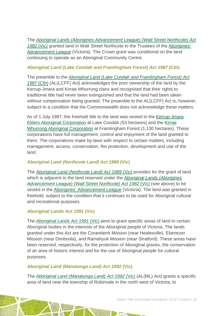The *[Aboriginal Lands \(Aborigines Advancement League\) \(Watt Street Northcote\) Act](http://www.austlii.edu.au/au/legis/vic/consol_act/alalsna1982619/) [1982](http://www.austlii.edu.au/au/legis/vic/consol_act/alalsna1982619/)* (Vic) granted land in Watt Street Northcote to the Trustees of the [Aborigines'](http://www.atns.net.au/agreement.asp?EntityID=1028)  [Advancement League](http://www.atns.net.au/agreement.asp?EntityID=1028) (Victoria). The Crown grant was conditional on the land continuing to operate as an Aboriginal Community Centre.

#### *Aboriginal Land (Lake Condah and Framlingham Forest) Act 1987* **(Cth)**

The preamble to the *[Aboriginal Land \(Lake Condah and Framlingham Forest\) Act](http://www.austlii.edu.au/au/legis/cth/num_act/alcaffa1987374/)  [1987](http://www.austlii.edu.au/au/legis/cth/num_act/alcaffa1987374/)* [\(Cth\)](http://www.austlii.edu.au/au/legis/cth/consol_act/alcaffa1987374/) (AL(LCFF) Act) acknowledges the prior ownership of the land by the Kerrup-Jmara and Kirrae Whurrong clans and recognised that their rights to traditional title had never been extinguished and that the land had been taken without compensation being granted. The preamble to the AL(LCFF) Act is, however, subject to a condition that the Commonwealth does not acknowledge these matters.

As of 1 July 1987, the freehold title to the land was vested in the [Kerrup-Jmara](http://www.atns.net.au/agreement.asp?EntityID=3459)  [Elders Aboriginal Corporation](http://www.atns.net.au/agreement.asp?EntityID=3459) at Lake Condah (53 hectares) and the [Kirrae](http://www.atns.net.au/agreement.asp?EntityID=2487)  [Whurrong Aboriginal Corporation](http://www.atns.net.au/agreement.asp?EntityID=2487) at Framlingham Forest (1,130 hectares). These corporations have full management, control and enjoyment of the land granted to them. The corporations make by-laws with respect to certain matters, including management, access, conservation, fire protection, development and use of the land.

#### *Aboriginal Land (Northcote Land) Act 1989* **(Vic)**

The *[Aboriginal Land \(Northcote Land\) Act](http://www.austlii.edu.au/au/legis/vic/consol_act/alla1989262/) 1989* (Vic) provides for the grant of land which is adjacent to the land reserved under the *[Aboriginal Lands \(Aborigines](http://www.austlii.edu.au/au/legis/vic/consol_act/alalsna1982619/)  [Advancement League\) \(Watt Street Northcote\) Act 1982](http://www.austlii.edu.au/au/legis/vic/consol_act/alalsna1982619/)* (Vic) (see above) to be vested in the [Aborigines' Advancement League](http://www.atns.net.au/agreement.asp?EntityID=1028) (Victoria). The land was granted in freehold, subject to the condition that it continues to be used for Aboriginal cultural and recreational purposes.

#### *Aboriginal Lands Act 1991* **(Vic)**

The *[Aboriginal Lands Act 1991](http://www.austlii.edu.au/au/legis/vic/consol_act/ala1991144/)* (Vic) aims to grant specific areas of land to certain Aboriginal bodies in the interests of the Aboriginal people of Victoria. The lands granted under this Act are the Coranderrk Mission (near Healesville), Ebenezer Mission (near Dimboola), and Ramahyuk Mission (near Stratford). These areas have been reserved, respectively, for the protection of Aboriginal graves, the conservation of an area of historic interest and for the use of Aboriginal people for cultural purposes.

#### *Aboriginal Land (Manatunga Land) Act 1992* **(Vic)**

The *[Aboriginal Land \(Manatunga Land\) Act 1992](http://www.austlii.edu.au/au/legis/vic/hist_act/alla1992236.pdf)* (Vic) (AL(ML) Act) grants a specific area of land near the township of Robinvale in the north west of Victoria, to

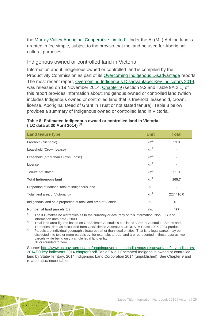the [Murray Valley Aboriginal Cooperative Limited.](http://www.atns.net.au/agreement.asp?EntityID=3457) Under the AL(ML) Act the land is granted in fee simple, subject to the proviso that the land be used for Aboriginal cultural purposes*.*

#### Indigenous owned or controlled land in Victoria

Information about Indigenous owned or controlled land is compiled by the Productivity Commission as part of its [Overcoming Indigenous Disadvantage](http://www.pc.gov.au/research/recurring/overcoming-indigenous-disadvantage) reports. The most recent report, [Overcoming Indigenous Disadvantage: Key Indicators 2014,](http://www.pc.gov.au/research/recurring/overcoming-indigenous-disadvantage/key-indicators-2014) was released on 19 November 2014. [Chapter 9](http://www.pc.gov.au/research/ongoing/overcoming-indigenous-disadvantage/key-indicators-2014/09-key-indicators-2014-chapter9.pdf) (section 9.2 and Table 9A.2.1) of this report provides information about: Indigenous owned or controlled land (which includes Indigenous owned or controlled land that is freehold, leasehold, crown, license, Aboriginal Deed of Grant in Trust or not stated tenure). Table 8 below provides a summary of Indigenous owned or controlled land in Victoria.

| <b>Land tenure type</b>                                        | <b>Unit</b>     | <b>Total</b> |
|----------------------------------------------------------------|-----------------|--------------|
| Freehold (alienable)                                           | km <sup>2</sup> | 53.8         |
| Leasehold (Crown Lease)                                        | km <sup>2</sup> | ٠            |
| Leasehold (other than Crown Lease)                             | km <sup>2</sup> | ٠            |
| License                                                        | km <sup>2</sup> |              |
| Tenure not stated                                              | km <sup>2</sup> | 51.9         |
| <b>Total Indigenous land</b>                                   | km <sup>2</sup> | 105.7        |
| Proportion of national total of Indigenous land                | $\%$            |              |
| Total land area of Victoria (b)                                | km <sup>2</sup> | 227,416.0    |
| Indigenous land as a proportion of total land area of Victoria | $\%$            | 0.1          |
| Number of land parcels (c)                                     | no.             | 477          |

#### **Table 8: Estimated Indigenous owned or controlled land in Victoria (ILC data at 30 April 2014) (a)**

 $(a)$  The ILC makes no warranties as to the currency or accuracy of this information. Non-ILC land information data date - 2000.

(b) Total land area figures based on GeoScience Australia's published "Area of Australia - States and<br>Territories" data as calculated from GeoScience Australia's GEODATA Coast 100K 2004 product.

Parcels are individual geographic features rather than legal entities. That is, a legal parcel may be dissected into two or more parcels by, for example, a road, and are represented in these data as two parcels while being only a single legal land entity.<br>Nil or rounded to zero.

Source: [http://www.pc.gov.au/research/ongoing/overcoming-indigenous-disadvantage/key-indicators-](http://www.pc.gov.au/research/ongoing/overcoming-indigenous-disadvantage/key-indicators-2014/09-key-indicators-2014-chapter9.pdf)[2014/09-key-indicators-2014-chapter9.pdf](http://www.pc.gov.au/research/ongoing/overcoming-indigenous-disadvantage/key-indicators-2014/09-key-indicators-2014-chapter9.pdf) Table 9A.2.1 Estimated Indigenous owned or controlled land by State/Territory, 2014 Indigenous Land Corporation 2014 (unpublished). See Chapter 9 and related attachment tables.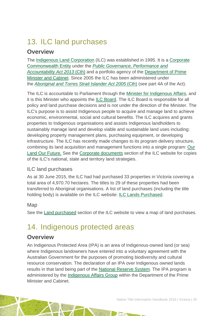## <span id="page-26-0"></span>13. ILC land purchases

### **Overview**

The [Indigenous Land Corporation](http://www.ilc.gov.au/Home) (ILC) was established in 1995. It is a [Corporate](http://www.finance.gov.au/resource-management/introduction/glossary/#c)  [Commonwealth Entity](http://www.finance.gov.au/resource-management/introduction/glossary/#c) under the *[Public Governance, Performance and](http://www.austlii.edu.au/au/legis/cth/consol_act/pgpaaa2013432/)  [Accountability Act 2013](http://www.austlii.edu.au/au/legis/cth/consol_act/pgpaaa2013432/)* (Cth) and a portfolio agency of the [Department of Prime](https://www.dpmc.gov.au/)  [Minister and Cabinet.](https://www.dpmc.gov.au/) Since 2005 the ILC has been administered under the *[Aboriginal and Torres Strait Islander Act 2005](http://www.austlii.edu.au/au/legis/cth/consol_act/aatsia2005359/)* (Cth) (see part 4A of the Act).

The ILC is accountable to Parliament through the [Minister for Indigenous Affairs,](http://minister.indigenous.gov.au/) and it is this Minister who appoints the **ILC Board**. The ILC Board is responsible for all policy and land purchase decisions and is not under the direction of the Minister. The ILC's purpose is to assist Indigenous people to acquire and manage land to achieve economic, environmental, social and cultural benefits. The ILC acquires and grants properties to Indigenous organisations and assists Indigenous landholders to sustainably manage land and develop viable and sustainable land uses including: developing property management plans, purchasing equipment, or developing infrastructure. The ILC has recently made changes to its program delivery structure, combining its land acquisition and management functions into a single program: [Our](http://www.ilc.gov.au/Home/Our-Land-Program)  [Land Our Future.](http://www.ilc.gov.au/Home/Our-Land-Program) See the [Corporate documents](http://www.ilc.gov.au/Home/Publications/Corporate-Documents) section of the ILC website for copies of the ILC's national, state and territory land strategies.

### ILC land purchases

As at 30 June 2015, the ILC had had purchased 33 properties in Victoria covering a total area of 4,970.70 hectares. The titles to 29 of these properties had been transferred to Aboriginal organisations. A list of land purchases (including the title holding body) is available on the ILC website: [ILC Lands Purchased.](http://www.ilc.gov.au/Home/Land-Purchased/Land-Purchased-All-States)

#### Map

See the [Land purchased](http://www.ilc.gov.au/Home/Land-Purchased) section of the ILC website to view a map of land purchases.

### <span id="page-26-1"></span>14. Indigenous protected areas

### **Overview**

An Indigenous Protected Area (IPA) is an area of Indigenous-owned land (or sea) where Indigenous landowners have entered into a voluntary agreement with the Australian Government for the purposes of promoting biodiversity and cultural resource conservation. The declaration of an IPA over Indigenous owned lands results in that land being part of the [National Reserve System.](http://www.environment.gov.au/land/nrs) The IPA program is administered by the [Indigenous Affairs Group](https://www.dpmc.gov.au/indigenous-affairs) within the Department of the Prime Minister and Cabinet.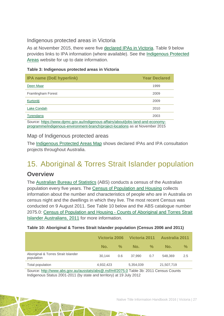#### Indigenous protected areas in Victoria

As at November 2015, there were five [declared IPAs in Victoria.](http://www.environment.gov.au/indigenous/ipa/declared/vic.html) Table 9 below provides links to IPA information (where available). See the [Indigenous Protected](http://www.environment.gov.au/indigenous/ipa/)  [Areas](http://www.environment.gov.au/indigenous/ipa/) website for up to date information.

#### **Table 3: Indigenous protected areas in Victoria**

| <b>IPA name (DoE hyperlink)</b>                                          | <b>Year Declared</b> |
|--------------------------------------------------------------------------|----------------------|
| Deen Maar                                                                | 1999                 |
| Framlingham Forest                                                       | 2009                 |
| Kurtoniti                                                                | 2009                 |
| Lake Condah                                                              | 2010                 |
| Tyrendarra                                                               | 2003                 |
| $\sim$ $\sim$ $\sim$ $\sim$ $\sim$ $\sim$ $\sim$ $\sim$<br>$\cdots$<br>. |                      |

Source: [https://www.dpmc.gov.au/indigenous-affairs/about/jobs-land-and-economy](https://www.dpmc.gov.au/indigenous-affairs/about/jobs-land-and-economy-programme/indigenous-environment-branch/project-locations)[programme/indigenous-environment-branch/project-locations](https://www.dpmc.gov.au/indigenous-affairs/about/jobs-land-and-economy-programme/indigenous-environment-branch/project-locations) as at November 2015

#### Map of Indigenous protected areas

The [Indigenous Protected Areas Map](https://www.dpmc.gov.au/indigenous-affairs/about/jobs-land-and-economy-programme/indigenous-environment-branch/project-locations) shows declared IPAs and IPA consultation projects throughout Australia.

### <span id="page-27-0"></span>15. Aboriginal & Torres Strait Islander population

### **Overview**

The [Australian Bureau of Statistics](http://www.abs.gov.au/) (ABS) conducts a census of the Australian population every five years. The [Census of Population and Housing](http://www.abs.gov.au/websitedbs/censushome.nsf/home/what?opendocument&navpos=110) collects information about the number and characteristics of people who are in Australia on census night and the dwellings in which they live. The most recent Census was conducted on 9 August 2011. See Table 10 below and the ABS catalogue number 2075.0: Census of Population and Housing - Counts of Aboriginal and Torres Strait Islander Australians, 2011 for more information.

#### **Table 10: Aboriginal & Torres Strait Islander population (Census 2006 and 2011)**

|                                                   | Victoria 2006 |               | Victoria 2011 |               | <b>Australia 2011</b> |               |
|---------------------------------------------------|---------------|---------------|---------------|---------------|-----------------------|---------------|
|                                                   | No.           | $\frac{9}{6}$ | No.           | $\frac{1}{2}$ | No.                   | $\frac{0}{0}$ |
| Aboriginal & Torres Strait Islander<br>population | 30.144        | 0.6           | 37.990        | 0.7           | 548,369               | 2.5           |
| Total population                                  | 4,932,423     |               | 5,354,039     |               | 21,507,719            |               |

Source:<http://www.abs.gov.au/ausstats/abs@.nsf/mf/2075.0> Table 3b: 2011 Census Counts Indigenous Status 2001-2011 (by state and territory) at 19 July 2012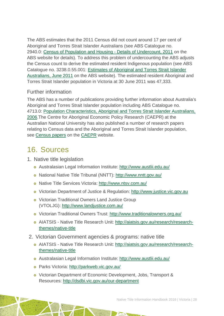The ABS estimates that the 2011 Census did not count around 17 per cent of Aboriginal and Torres Strait Islander Australians (see ABS Catalogue no. 2940.0: [Census of Population and Housing -](http://www.abs.gov.au/ausstats/abs@.nsf/%20mf/2940.0) Details of Undercount, 2011 on the ABS website for details). To address this problem of undercounting the ABS adjusts the Census count to derive the estimated resident Indigenous population (see ABS Catalogue no. 3238.0.55.001: [Estimates of Aboriginal and Torres Strait Islander](http://www.abs.gov.au/AUSSTATS/abs@.nsf/Lookup/3238.0.55.001Main+Features1June%202011?OpenDocument)  [Australians, June 2011](http://www.abs.gov.au/AUSSTATS/abs@.nsf/Lookup/3238.0.55.001Main+Features1June%202011?OpenDocument) on the ABS website). The estimated resident Aboriginal and Torres Strait Islander population in Victoria at 30 June 2011 was 47,333.

#### Further information

The ABS has a number of publications providing further information about Australia's Aboriginal and Torres Strait Islander population including ABS Catalogue no. 4713.0: [Population Characteristics, Aboriginal and Torres Strait Islander Australians,](http://www.abs.gov.au/AUSSTATS/abs@.nsf/Lookup/4713.0Main+Features12006?OpenDocument)  [2006.](http://www.abs.gov.au/AUSSTATS/abs@.nsf/Lookup/4713.0Main+Features12006?OpenDocument)The Centre for Aboriginal Economic Policy Research (CAEPR) at the Australian National University has also published a number of research papers relating to Census data and the Aboriginal and Torres Strait Islander population, see [Census papers](http://caepr.anu.edu.au/publications/censuspapers.php) on the [CAEPR](http://caepr.anu.edu.au/) website.

## <span id="page-28-0"></span>16. Sources

- 1. Native title legislation
	- Australasian Legal Information Institute:<http://www.austlii.edu.au/>
	- National Native Title Tribunal (NNTT):<http://www.nntt.gov.au/>
	- Native Title Services Victoria:<http://www.ntsv.com.au/>
	- Victorian Department of Justice & Regulation: [http://www.justice.vic.gov.au](http://www.justice.vic.gov.au/)
	- Victorian Traditional Owners Land Justice Group (VTOLJG):<http://www.landjustice.com.au/>
	- Victorian Traditional Owners Trust:<http://www.traditionalowners.org.au/>
	- AIATSIS Native Title Research Unit: [http://aiatsis.gov.au/research/research](http://aiatsis.gov.au/research/research-themes/native-title)[themes/native-title](http://aiatsis.gov.au/research/research-themes/native-title)
- 2. Victorian Government agencies & programs: native title
	- AIATSIS Native Title Research Unit: [http://aiatsis.gov.au/research/research](http://aiatsis.gov.au/research/research-themes/native-title)[themes/native-title](http://aiatsis.gov.au/research/research-themes/native-title)
	- Australasian Legal Information Institute:<http://www.austlii.edu.au/>
	- Parks Victoria: [http://parkweb.vic.gov.au/](http://parkweb.vic.gov.au/about-us/who-we-are)
	- Victorian Department of Economic Development, Jobs, Transport & Resources:<http://dsdbi.vic.gov.au/our-department>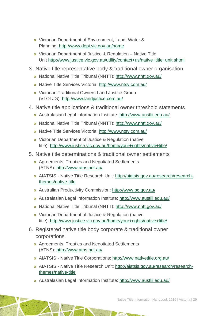- Victorian Department of Environment, Land, Water & Planning:<http://www.depi.vic.gov.au/home>
- Victorian Department of Justice & Regulation Native Title Unit<http://www.justice.vic.gov.au/utility/contact+us/native+title+unit.shtml>
- 3. Native title representative body & traditional owner organisation
	- National Native Title Tribunal (NNTT):<http://www.nntt.gov.au/>
	- Native Title Services Victoria:<http://www.ntsv.com.au/>
	- Victorian Traditional Owners Land Justice Group (VTOLJG):<http://www.landjustice.com.au/>
- 4. Native title applications & traditional owner threshold statements
	- Australasian Legal Information Institute:<http://www.austlii.edu.au/>
	- o National Native Title Tribunal (NNTT):<http://www.nntt.gov.au/>
	- Native Title Services Victoria:<http://www.ntsv.com.au/>
	- Victorian Department of Justice & Regulation (native title):<http://www.justice.vic.gov.au/home/your+rights/native+title/>
- 5. Native title determinations & traditional owner settlements
	- Agreements, Treaties and Negotiated Settlements (ATNS):<http://www.atns.net.au/>
	- AIATSIS Native Title Research Unit: [http://aiatsis.gov.au/research/research](http://aiatsis.gov.au/research/research-themes/native-title)[themes/native-title](http://aiatsis.gov.au/research/research-themes/native-title)
	- Australian Productivity Commission:<http://www.pc.gov.au/>
	- Australasian Legal Information Institute:<http://www.austlii.edu.au/>
	- o National Native Title Tribunal (NNTT):<http://www.nntt.gov.au/>
	- Victorian Department of Justice & Regulation (native title):<http://www.justice.vic.gov.au/home/your+rights/native+title/>
- 6. Registered native title body corporate & traditional owner corporations
	- Agreements, Treaties and Negotiated Settlements (ATNS):<http://www.atns.net.au/>
	- AIATSIS Native Title Corporations:<http://www.nativetitle.org.au/>
	- AIATSIS Native Title Research Unit: [http://aiatsis.gov.au/research/research](http://aiatsis.gov.au/research/research-themes/native-title)[themes/native-title](http://aiatsis.gov.au/research/research-themes/native-title)
	- Australasian Legal Information Institute:<http://www.austlii.edu.au/>

Native Title Information Handbook 2016 | Victoria | 29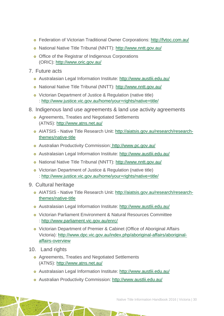- Federation of Victorian Traditional Owner Corporations:<http://fvtoc.com.au/>
- National Native Title Tribunal (NNTT):<http://www.nntt.gov.au/>
- o Office of the Registrar of Indigenous Corporations (ORIC):<http://www.oric.gov.au/>
- 7. Future acts
	- Australasian Legal Information Institute:<http://www.austlii.edu.au/>
	- National Native Title Tribunal (NNTT):<http://www.nntt.gov.au/>
	- Victorian Department of Justice & Regulation (native title) :<http://www.justice.vic.gov.au/home/your+rights/native+title/>
- 8. Indigenous land use agreements & land use activity agreements
	- Agreements, Treaties and Negotiated Settlements (ATNS):<http://www.atns.net.au/>
	- AIATSIS Native Title Research Unit: [http://aiatsis.gov.au/research/research](http://aiatsis.gov.au/research/research-themes/native-title)[themes/native-title](http://aiatsis.gov.au/research/research-themes/native-title)
	- Australian Productivity Commission: <http://www.pc.gov.au/>
	- Australasian Legal Information Institute:<http://www.austlii.edu.au/>
	- National Native Title Tribunal (NNTT):<http://www.nntt.gov.au/>
	- Victorian Department of Justice & Regulation (native title) :<http://www.justice.vic.gov.au/home/your+rights/native+title/>
- 9. Cultural heritage
	- AIATSIS Native Title Research Unit: [http://aiatsis.gov.au/research/research](http://aiatsis.gov.au/research/research-themes/native-title)[themes/native-title](http://aiatsis.gov.au/research/research-themes/native-title)
	- Australasian Legal Information Institute:<http://www.austlii.edu.au/>
	- Victorian Parliament Environment & Natural Resources Committee : [http://www.parliament.vic.gov.au/enrc/](http://www.parliament.vic.gov.au/enrc/article/1420)
	- Victorian Department of Premier & Cabinet (Office of Aboriginal Affairs Victoria): [http://www.dpc.vic.gov.au/index.php/aboriginal-affairs/aboriginal](http://www.dpc.vic.gov.au/index.php/aboriginal-affairs/aboriginal-affairs-overview)[affairs-overview](http://www.dpc.vic.gov.au/index.php/aboriginal-affairs/aboriginal-affairs-overview)
- 10. Land rights
	- Agreements, Treaties and Negotiated Settlements (ATNS):<http://www.atns.net.au/>
	- Australasian Legal Information Institute:<http://www.austlii.edu.au/>
	- Australian Productivity Commission:<http://www.austlii.edu.au/>